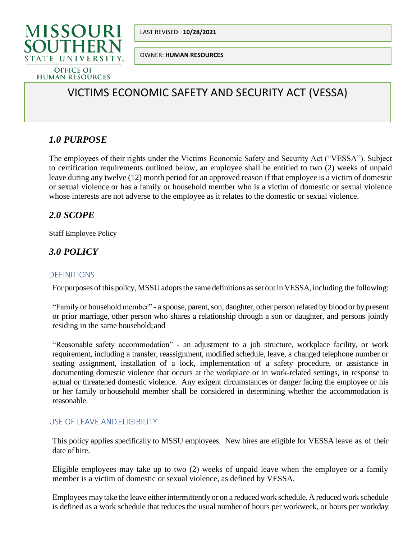



OWNER: **HUMAN RESOURCES**

# VICTIMS ECONOMIC SAFETY AND SECURITY ACT (VESSA)

# *1.0 PURPOSE*

The employees of their rights under the Victims Economic Safety and Security Act ("VESSA"). Subject to certification requirements outlined below, an employee shall be entitled to two (2) weeks of unpaid leave during any twelve (12) month period for an approved reason if that employee is a victim of domestic or sexual violence or has a family or household member who is a victim of domestic or sexual violence whose interests are not adverse to the employee as it relates to the domestic or sexual violence.

### *2.0 SCOPE*

Staff Employee Policy

## *3.0 POLICY*

#### DEFINITIONS

For purposes of this policy, MSSU adopts the same definitions as set out in VESSA, including the following:

"Family or household member" - a spouse, parent, son, daughter, other person related by blood or by present or prior marriage, other person who shares a relationship through a son or daughter, and persons jointly residing in the same household;and

"Reasonable safety accommodation" - an adjustment to a job structure, workplace facility, or work requirement, including a transfer, reassignment, modified schedule, leave, a changed telephone number or seating assignment, installation of a lock, implementation of a safety procedure, or assistance in documenting domestic violence that occurs at the workplace or in work-related settings, in response to actual or threatened domestic violence. Any exigent circumstances or danger facing the employee or his or her family orhousehold member shall be considered in determining whether the accommodation is reasonable.

#### USE OF LEAVE ANDELIGIBILITY

This policy applies specifically to MSSU employees. New hires are eligible for VESSA leave as of their date of hire.

Eligible employees may take up to two (2) weeks of unpaid leave when the employee or a family member is a victim of domestic or sexual violence, as defined by VESSA.

Employees may take the leave either intermittently or on a reduced work schedule. A reduced work schedule is defined as a work schedule that reduces the usual number of hours per workweek, or hours per workday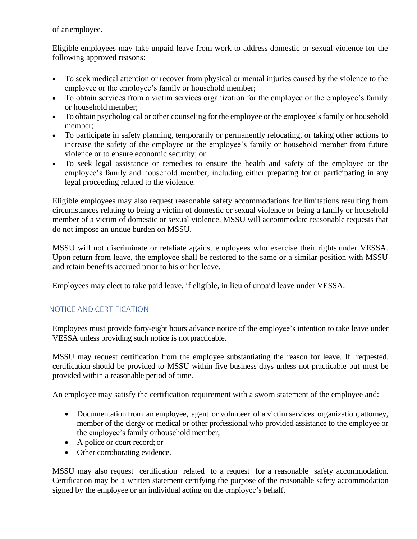of anemployee.

Eligible employees may take unpaid leave from work to address domestic or sexual violence for the following approved reasons:

- To seek medical attention or recover from physical or mental injuries caused by the violence to the employee or the employee's family or household member;
- To obtain services from a victim services organization for the employee or the employee's family or household member;
- To obtain psychological or other counseling for the employee or the employee's family or household member;
- To participate in safety planning, temporarily or permanently relocating, or taking other actions to increase the safety of the employee or the employee's family or household member from future violence or to ensure economic security; or
- To seek legal assistance or remedies to ensure the health and safety of the employee or the employee's family and household member, including either preparing for or participating in any legal proceeding related to the violence.

Eligible employees may also request reasonable safety accommodations for limitations resulting from circumstances relating to being a victim of domestic or sexual violence or being a family or household member of a victim of domestic or sexual violence. MSSU will accommodate reasonable requests that do not impose an undue burden on MSSU.

MSSU will not discriminate or retaliate against employees who exercise their rights under VESSA. Upon return from leave, the employee shall be restored to the same or a similar position with MSSU and retain benefits accrued prior to his or her leave.

Employees may elect to take paid leave, if eligible, in lieu of unpaid leave under VESSA.

#### NOTICE AND CERTIFICATION

Employees must provide forty-eight hours advance notice of the employee's intention to take leave under VESSA unless providing such notice is not practicable.

MSSU may request certification from the employee substantiating the reason for leave. If requested, certification should be provided to MSSU within five business days unless not practicable but must be provided within a reasonable period of time.

An employee may satisfy the certification requirement with a sworn statement of the employee and:

- Documentation from an employee, agent or volunteer of a victim services organization, attorney, member of the clergy or medical or other professional who provided assistance to the employee or the employee's family orhousehold member;
- A police or court record; or
- Other corroborating evidence.

MSSU may also request certification related to a request for a reasonable safety accommodation. Certification may be a written statement certifying the purpose of the reasonable safety accommodation signed by the employee or an individual acting on the employee's behalf.